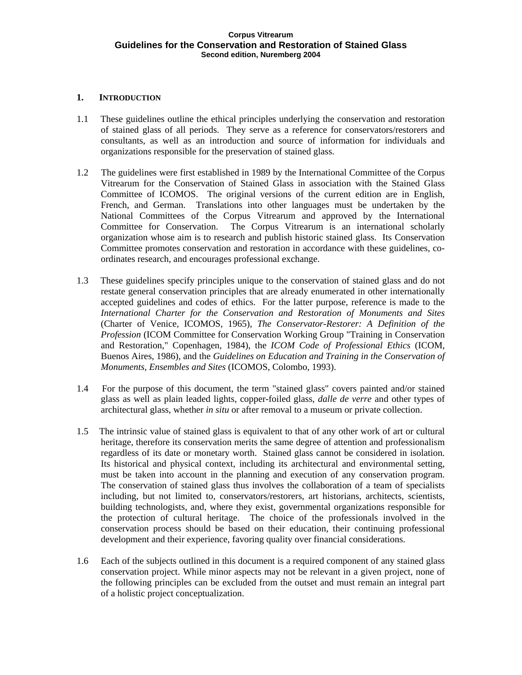# **1. INTRODUCTION**

- 1.1 These guidelines outline the ethical principles underlying the conservation and restoration of stained glass of all periods. They serve as a reference for conservators/restorers and consultants, as well as an introduction and source of information for individuals and organizations responsible for the preservation of stained glass.
- 1.2 The guidelines were first established in 1989 by the International Committee of the Corpus Vitrearum for the Conservation of Stained Glass in association with the Stained Glass Committee of ICOMOS. The original versions of the current edition are in English, French, and German. Translations into other languages must be undertaken by the National Committees of the Corpus Vitrearum and approved by the International Committee for Conservation. The Corpus Vitrearum is an international scholarly organization whose aim is to research and publish historic stained glass. Its Conservation Committee promotes conservation and restoration in accordancewith these guidelines, co ordinates research, and encourages professional exchange.
- 1.3 These guidelines specify principles unique to the conservation of stained glass and do not restate general conservation principles that are already enumerated in other internationally accepted guidelines and codes of ethics. For the latter purpose, reference is made to the *International Charter for the Conservation and Restoration of Monuments and Sites* (Charter of Venice, ICOMOS, 1965), *The Conservator-Restorer: A Definition of the Profession* (ICOM Committee for Conservation Working Group "Training in Conservation and Restoration," Copenhagen, 1984), the *ICOM Code of Professional Ethics* (ICOM, Buenos Aires, 1986), and the *Guidelines on Education and Training in the Conservation of Monuments, Ensembles and Sites* (ICOMOS, Colombo, 1993).
- 1.4 For the purpose of this document, the term "stained glass" covers painted and/or stained glass as well as plain leaded lights, copper-foiled glass, *dalle de verre* and other types of architectural glass, whether *in situ* or after removal to a museum or private collection.
- 1.5 The intrinsic value of stained glass is equivalent to that of any other work of art or cultural heritage, therefore its conservation merits the same degree of attention and professionalism regardless of its date or monetary worth. Stained glass cannot be considered in isolation. Its historical and physical context, including its architectural and environmental setting, must be taken into account in the planning and execution of any conservation program. The conservation of stained glass thus involves the collaboration of a team of specialists including, but not limited to, conservators/restorers, art historians, architects, scientists, building technologists, and, where they exist, governmental organizations responsible for the protection of cultural heritage. The choice of the professionals involved in the conservation process should be based on their education, their continuing professional development and their experience, favoring quality over financial considerations.
- 1.6 Each of the subjects outlined in this document is a required component of any stained glass conservation project. While minor aspects may not be relevant in a given project, none of the following principles can be excluded from the outset and must remain an integral part of a holistic project conceptualization.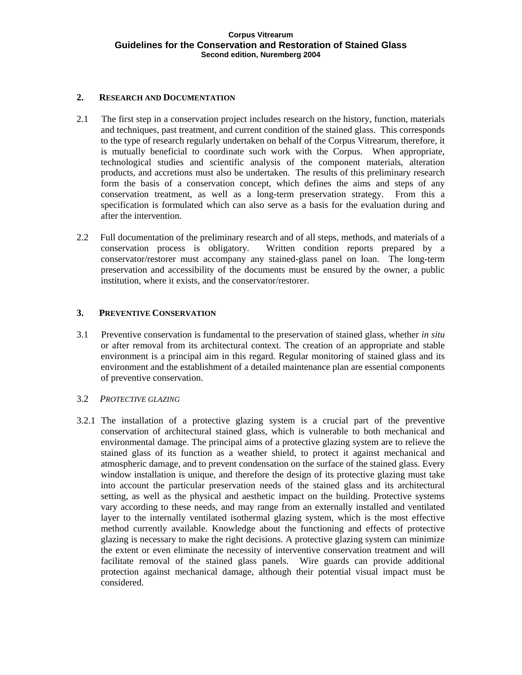## **2. RESEARCH AND DOCUMENTATION**

- 2.1 The first step in a conservation project includes research on the history, function, materials and techniques, past treatment, and current condition of the stained glass. This corresponds to the type of research regularly undertaken on behalf of the Corpus Vitrearum, therefore, it is mutually beneficial to coordinate such work with the Corpus. When appropriate, technological studies and scientific analysis of the component materials, alteration products, and accretions must also be undertaken. The results of this preliminary research form the basis of a conservation concept, which defines the aims and steps of any conservation treatment, as well as a long-term preservation strategy. From this a specification is formulated which can also serve as a basis for the evaluation during and after the intervention.
- 2.2 Full documentation of the preliminary research and of all steps, methods, and materials of a conservation process is obligatory. Written condition reports prepared by a conservator/restorer must accompany any stained-glass panel on loan. The long-term preservation and accessibility of the documents must be ensured by the owner, a public institution, where it exists, and the conservator/restorer.

### **3. PREVENTIVE CONSERVATION**

3.1 Preventive conservation is fundamental to the preservation of stained glass, whether *in situ* or after removal from its architectural context. The creation of an appropriate and stable environment is a principal aim in this regard. Regular monitoring of stained glass and its environment and the establishment of a detailed maintenance plan are essential components of preventive conservation.

# 3.2 *PROTECTIVE GLAZING*

3.2.1 The installation of a protective glazing system is a crucial part of the preventive conservation of architectural stained glass, which is vulnerable to both mechanical and environmental damage. The principal aims of a protective glazing system are to relieve the stained glass of its function as a weather shield, to protect it against mechanical and atmospheric damage, and to prevent condensation on the surface of the stained glass. Every window installation is unique, and therefore the design of its protective glazing must take into account the particular preservation needs of the stained glass and its architectural setting, as well as the physical and aesthetic impact on the building. Protective systems vary according to these needs, and may range from an externally installed and ventilated layer to the internally ventilated isothermal glazing system, which is the most effective method currently available. Knowledge about the functioning and effects of protective glazing is necessary to make the right decisions. A protective glazing system can minimize the extent or even eliminate the necessity of interventive conservation treatment and will facilitate removal of the stained glass panels. Wire guards can provide additional protection against mechanical damage, although their potential visual impact must be considered.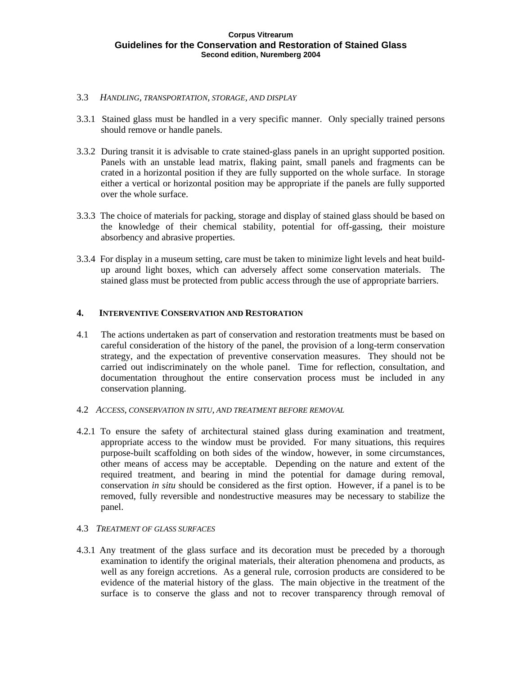- 3.3 *HANDLING, TRANSPORTATION, STORAGE, AND DISPLAY*
- 3.3.1 Stained glass must be handled in a very specific manner. Only specially trained persons should remove or handle panels.
- 3.3.2 During transit it is advisable to crate stained-glass panels in an upright supported position. Panels with an unstable lead matrix, flaking paint, small panels and fragments can be crated in a horizontal position if they are fully supported on the whole surface. In storage either a vertical or horizontal position may be appropriate if the panels are fully supported over the whole surface.
- 3.3.3 The choice of materials for packing, storage and display of stained glass should be based on the knowledge of their chemical stability, potential for off-gassing, their moisture absorbency and abrasive properties.
- 3.3.4 For display in a museum setting, care must be taken to minimize light levels and heat build up around light boxes, which can adversely affect some conservation materials. The stained glass must be protected from public access through the use of appropriate barriers.

## **4. INTERVENTIVE CONSERVATION AND RESTORATION**

- 4.1 The actions undertaken as part of conservation and restoration treatments must be based on careful consideration of the history of the panel, the provision of a long-term conservation strategy, and the expectation of preventive conservation measures. They should not be carried out indiscriminately on the whole panel. Time for reflection, consultation, and documentation throughout the entire conservation process must be included in any conservation planning.
- 4.2 *ACCESS, CONSERVATION IN SITU, AND TREATMENT BEFORE REMOVAL*
- 4.2.1 To ensure the safety of architectural stained glass during examination and treatment, appropriate access to the window must be provided. For many situations, this requires purpose-built scaffolding on both sides of the window, however, in some circumstances, other means of access may be acceptable. Depending on the nature and extent of the required treatment, and bearing in mind the potential for damage during removal, conservation *in situ* should be considered as the first option. However, if a panel is to be removed, fully reversible and nondestructive measures may be necessary to stabilize the panel. The contract of the contract of the contract of the contract of the contract of the contract of the contract of the contract of the contract of the contract of the contract of the contract of the contract of the con

## 4.3 *TREATMENT OF GLASS SURFACES*

4.3.1 Any treatment of the glass surface and its decoration must be preceded by a thorough examination to identify the original materials, their alteration phenomena and products, as well as any foreign accretions. As a general rule, corrosion products are considered to be evidence of the material history of the glass. The main objective in the treatment of the surface is to conserve the glass and not to recover transparency through removal of